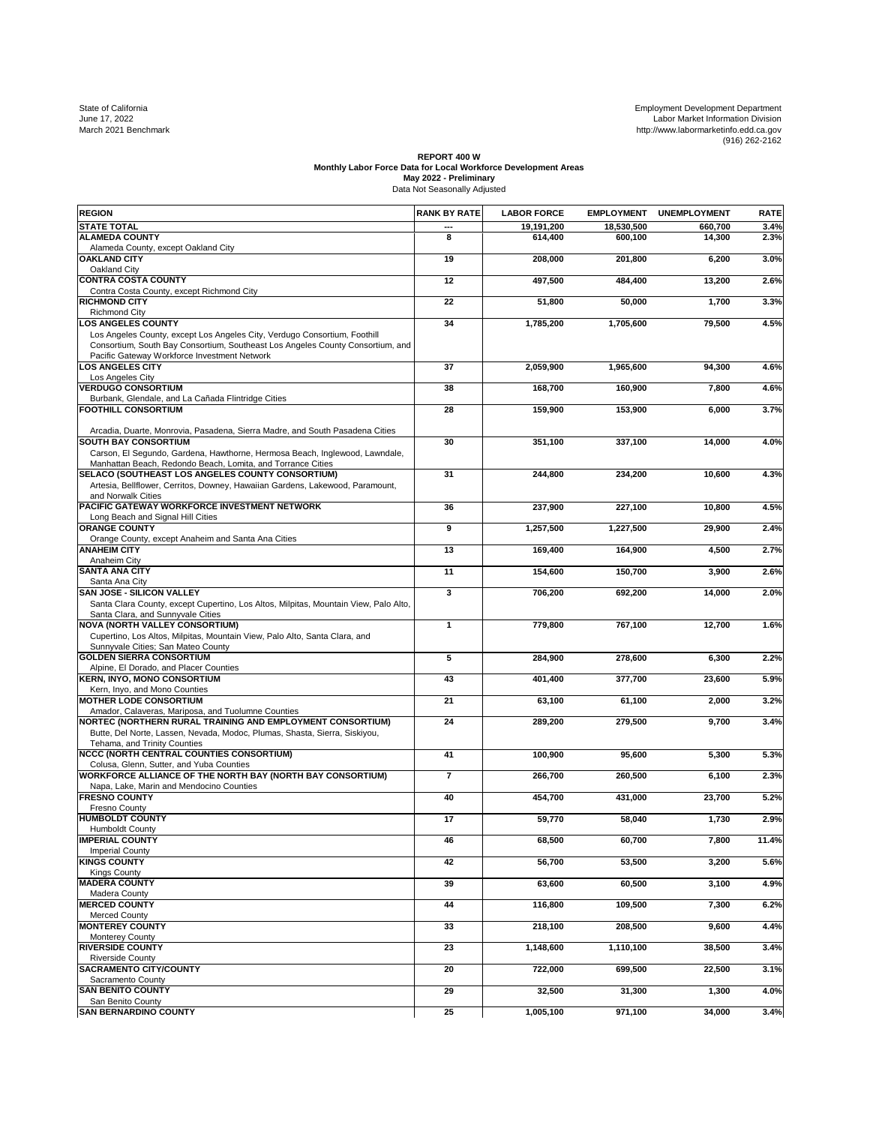State of California Development Development Development Development Development Development Department<br>June 17, 2022 Labor Market Information Division<br>March 2021 Benchmark http://www.labormarketinfo.edd.ca.gov<br>(916) 262-21

## REPORT 400 W<br>Monthly Labor Force Data for Local Workforce Development Areas<br>May 2022 - Preliminary<br>Data Not Seasonally Adjusted

| <b>REGION</b>                                                                                                                                                                                                                            | <b>RANK BY RATE</b> | <b>LABOR FORCE</b> | <b>EMPLOYMENT</b> | <b>UNEMPLOYMENT</b> | <b>RATE</b> |
|------------------------------------------------------------------------------------------------------------------------------------------------------------------------------------------------------------------------------------------|---------------------|--------------------|-------------------|---------------------|-------------|
| <b>STATE TOTAL</b>                                                                                                                                                                                                                       |                     | 19,191,200         | 18,530,500        | 660,700             | 3.4%        |
| <b>ALAMEDA COUNTY</b><br>Alameda County, except Oakland City                                                                                                                                                                             | 8                   | 614,400            | 600,100           | 14,300              | 2.3%        |
| <b>OAKLAND CITY</b>                                                                                                                                                                                                                      | 19                  | 208,000            | 201,800           | 6,200               | 3.0%        |
| Oakland City<br><b>CONTRA COSTA COUNTY</b>                                                                                                                                                                                               | 12                  | 497,500            | 484,400           | 13,200              | 2.6%        |
| Contra Costa County, except Richmond City<br><b>RICHMOND CITY</b>                                                                                                                                                                        | 22                  | 51,800             | 50,000            | 1,700               | 3.3%        |
| <b>Richmond City</b>                                                                                                                                                                                                                     |                     |                    |                   |                     |             |
| <b>LOS ANGELES COUNTY</b><br>Los Angeles County, except Los Angeles City, Verdugo Consortium, Foothill<br>Consortium, South Bay Consortium, Southeast Los Angeles County Consortium, and<br>Pacific Gateway Workforce Investment Network | 34                  | 1,785,200          | 1,705,600         | 79,500              | 4.5%        |
| OS ANGELES CITY                                                                                                                                                                                                                          | 37                  | 2.059.900          | 1.965.600         | 94,300              | 4.6%        |
| Los Angeles City<br><b>VERDUGO CONSORTIUM</b>                                                                                                                                                                                            | 38                  | 168,700            | 160,900           | 7,800               | 4.6%        |
| Burbank, Glendale, and La Cañada Flintridge Cities<br><b>FOOTHILL CONSORTIUM</b>                                                                                                                                                         | 28                  | 159,900            | 153,900           | 6,000               | 3.7%        |
| Arcadia, Duarte, Monrovia, Pasadena, Sierra Madre, and South Pasadena Cities                                                                                                                                                             |                     |                    |                   |                     |             |
| <b>SOUTH BAY CONSORTIUM</b><br>Carson, El Segundo, Gardena, Hawthorne, Hermosa Beach, Inglewood, Lawndale,                                                                                                                               | 30                  | 351,100            | 337,100           | 14,000              | 4.0%        |
| Manhattan Beach, Redondo Beach, Lomita, and Torrance Cities<br>SELACO (SOUTHEAST LOS ANGELES COUNTY CONSORTIUM)                                                                                                                          | 31                  | 244,800            | 234,200           | 10,600              | 4.3%        |
| Artesia, Bellflower, Cerritos, Downey, Hawaiian Gardens, Lakewood, Paramount,<br>and Norwalk Cities                                                                                                                                      |                     |                    |                   |                     |             |
| PACIFIC GATEWAY WORKFORCE INVESTMENT NETWORK<br>Long Beach and Signal Hill Cities                                                                                                                                                        | 36                  | 237,900            | 227,100           | 10,800              | 4.5%        |
| <b>ORANGE COUNTY</b>                                                                                                                                                                                                                     | 9                   | 1,257,500          | 1,227,500         | 29,900              | 2.4%        |
| Orange County, except Anaheim and Santa Ana Cities<br><b>ANAHEIM CITY</b>                                                                                                                                                                | 13                  | 169,400            | 164,900           | 4,500               | 2.7%        |
| Anaheim City<br><b>SANTA ANA CITY</b>                                                                                                                                                                                                    | 11                  | 154,600            | 150.700           | 3,900               | 2.6%        |
| Santa Ana City                                                                                                                                                                                                                           |                     |                    |                   |                     |             |
| <b>SAN JOSE - SILICON VALLEY</b><br>Santa Clara County, except Cupertino, Los Altos, Milpitas, Mountain View, Palo Alto,<br>Santa Clara, and Sunnyvale Cities                                                                            | 3                   | 706.200            | 692.200           | 14,000              | 2.0%        |
| <b>NOVA (NORTH VALLEY CONSORTIUM)</b><br>Cupertino, Los Altos, Milpitas, Mountain View, Palo Alto, Santa Clara, and<br>Sunnyvale Cities; San Mateo County                                                                                | 1                   | 779,800            | 767,100           | 12,700              | 1.6%        |
| <b>GOLDEN SIERRA CONSORTIUM</b>                                                                                                                                                                                                          | 5                   | 284,900            | 278,600           | 6,300               | 2.2%        |
| Alpine, El Dorado, and Placer Counties<br><b>KERN, INYO, MONO CONSORTIUM</b>                                                                                                                                                             | 43                  | 401,400            | 377,700           | 23,600              | 5.9%        |
| Kern, Inyo, and Mono Counties<br><b>MOTHER LODE CONSORTIUM</b>                                                                                                                                                                           | 21                  | 63,100             | 61,100            | 2,000               | 3.2%        |
| Amador, Calaveras, Mariposa, and Tuolumne Counties<br>NORTEC (NORTHERN RURAL TRAINING AND EMPLOYMENT CONSORTIUM)                                                                                                                         | 24                  | 289,200            | 279,500           | 9,700               | 3.4%        |
| Butte, Del Norte, Lassen, Nevada, Modoc, Plumas, Shasta, Sierra, Siskiyou,<br>Tehama, and Trinity Counties                                                                                                                               |                     |                    |                   |                     |             |
| NCCC (NORTH CENTRAL COUNTIES CONSORTIUM)<br>Colusa, Glenn, Sutter, and Yuba Counties                                                                                                                                                     | 41                  | 100.900            | 95,600            | 5,300               | 5.3%        |
| <b>WORKFORCE ALLIANCE OF THE NORTH BAY (NORTH BAY CONSORTIUM)</b><br>Napa, Lake, Marin and Mendocino Counties                                                                                                                            | $\overline{7}$      | 266,700            | 260,500           | 6,100               | 2.3%        |
| <b>FRESNO COUNTY</b>                                                                                                                                                                                                                     | 40                  | 454.700            | 431.000           | 23,700              | 5.2%        |
| Fresno County<br><b>HUMBOLDT COUNTY</b>                                                                                                                                                                                                  | 17                  | 59,770             | 58,040            | 1,730               | 2.9%        |
| <b>Humboldt County</b><br><b>IMPERIAL COUNTY</b>                                                                                                                                                                                         | 46                  | 68,500             | 60,700            | 7,800               | 11.4%       |
| <b>Imperial County</b><br><b>KINGS COUNTY</b>                                                                                                                                                                                            | 42                  |                    |                   |                     | 5.6%        |
| <b>Kings County</b>                                                                                                                                                                                                                      |                     | 56,700             | 53,500            | 3,200               |             |
| <b>MADERA COUNTY</b><br>Madera County                                                                                                                                                                                                    | 39                  | 63,600             | 60,500            | 3,100               | 4.9%        |
| <b>MERCED COUNTY</b><br>Merced County                                                                                                                                                                                                    | 44                  | 116,800            | 109,500           | 7,300               | 6.2%        |
| <b>MONTEREY COUNTY</b>                                                                                                                                                                                                                   | 33                  | 218,100            | 208,500           | 9,600               | 4.4%        |
| Monterey County<br><b>RIVERSIDE COUNTY</b>                                                                                                                                                                                               | 23                  | 1,148,600          | 1,110,100         | 38,500              | 3.4%        |
| <b>Riverside County</b><br><b>SACRAMENTO CITY/COUNTY</b>                                                                                                                                                                                 | 20                  | 722,000            | 699,500           | 22,500              | 3.1%        |
| Sacramento County<br><b>SAN BENITO COUNTY</b>                                                                                                                                                                                            | 29                  | 32,500             | 31,300            | 1,300               | 4.0%        |
| San Benito County                                                                                                                                                                                                                        |                     |                    |                   |                     |             |
| <b>SAN BERNARDINO COUNTY</b>                                                                                                                                                                                                             | 25                  | 1,005,100          | 971,100           | 34,000              | 3.4%        |